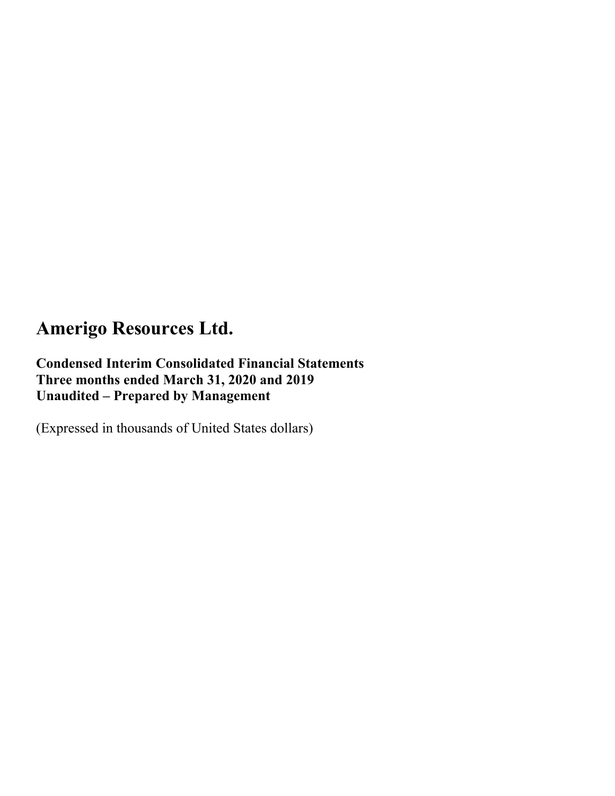**Condensed Interim Consolidated Financial Statements Three months ended March 31, 2020 and 2019 Unaudited – Prepared by Management** 

(Expressed in thousands of United States dollars)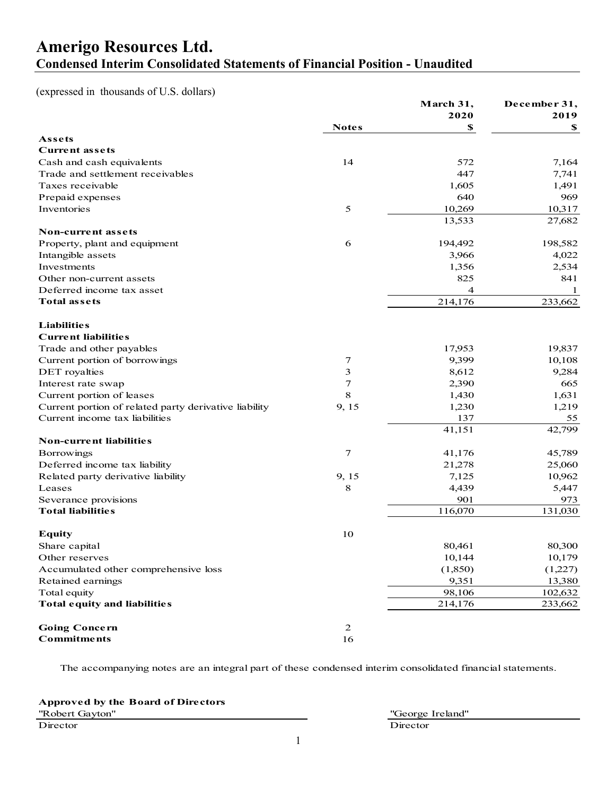### **Amerigo Resources Ltd. Condensed Interim Consolidated Statements of Financial Position - Unaudited**

(expressed in thousands of U.S. dollars)

|                                                       |              | March 31,<br>2020 | December 31,<br>2019 |
|-------------------------------------------------------|--------------|-------------------|----------------------|
|                                                       | <b>Notes</b> | \$                | \$                   |
| Assets                                                |              |                   |                      |
| <b>Current assets</b>                                 |              |                   |                      |
| Cash and cash equivalents                             | 14           | 572               | 7,164                |
| Trade and settlement receivables                      |              | 447               | 7,741                |
| Taxes receivable                                      |              | 1,605             | 1,491                |
| Prepaid expenses                                      |              | 640               | 969                  |
| Inventories                                           | 5            | 10,269            | 10,317               |
|                                                       |              | 13,533            | 27,682               |
| <b>Non-current assets</b>                             |              |                   |                      |
| Property, plant and equipment                         | 6            | 194,492           | 198,582              |
| Intangible assets                                     |              | 3,966             | 4,022                |
| Investments                                           |              | 1,356             | 2,534                |
| Other non-current assets                              |              | 825               | 841                  |
| Deferred income tax asset                             |              | 4                 | 1                    |
| <b>Total assets</b>                                   |              | 214,176           | 233,662              |
| <b>Liabilities</b>                                    |              |                   |                      |
| <b>Current liabilities</b>                            |              |                   |                      |
| Trade and other payables                              |              | 17,953            | 19,837               |
| Current portion of borrowings                         | 7            | 9,399             | 10,108               |
| DET royalties                                         | 3            | 8,612             | 9,284                |
| Interest rate swap                                    | 7            | 2,390             | 665                  |
| Current portion of leases                             | 8            | 1,430             | 1,631                |
| Current portion of related party derivative liability | 9, 15        | 1,230             | 1,219                |
| Current income tax liabilities                        |              | 137               | 55                   |
|                                                       |              | 41,151            | 42,799               |
| <b>Non-current liabilities</b>                        |              |                   |                      |
| Borrowings                                            | $\tau$       | 41,176            | 45,789               |
| Deferred income tax liability                         |              | 21,278            | 25,060               |
| Related party derivative liability                    | 9, 15        | 7,125             | 10,962               |
| Leases                                                | 8            | 4,439             | 5,447                |
| Severance provisions                                  |              | 901               | 973                  |
| <b>Total liabilities</b>                              |              | 116,070           | 131,030              |
| <b>Equity</b>                                         | 10           |                   |                      |
| Share capital                                         |              | 80,461            | 80,300               |
| Other reserves                                        |              | 10,144            | 10,179               |
| Accumulated other comprehensive loss                  |              | (1, 850)          | (1,227)              |
| Retained earnings                                     |              | 9,351             | 13,380               |
| Total equity                                          |              | 98,106            | 102,632              |
| Total equity and liabilities                          |              | 214,176           | 233,662              |
|                                                       |              |                   |                      |
| <b>Going Concern</b>                                  | 2            |                   |                      |
| <b>Commitments</b>                                    | 16           |                   |                      |

The accompanying notes are an integral part of these condensed interim consolidated financial statements.

**Approved by the Board of Directors**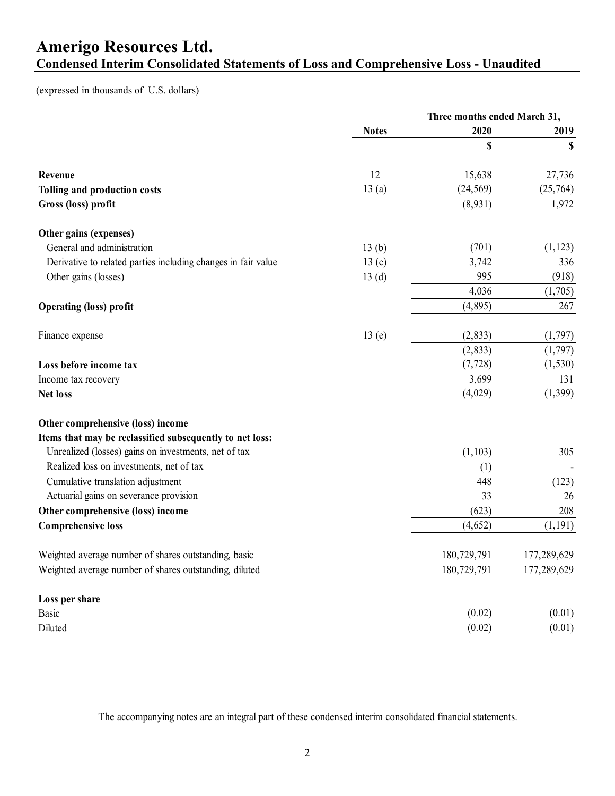### **Amerigo Resources Ltd. Condensed Interim Consolidated Statements of Loss and Comprehensive Loss - Unaudited**

(expressed in thousands of U.S. dollars)

|                                                               |              | Three months ended March 31, |             |  |
|---------------------------------------------------------------|--------------|------------------------------|-------------|--|
|                                                               | <b>Notes</b> | 2020                         | 2019        |  |
|                                                               |              | \$                           | S           |  |
| Revenue                                                       | 12           | 15,638                       | 27,736      |  |
| Tolling and production costs                                  | 13(a)        | (24, 569)                    | (25,764)    |  |
| Gross (loss) profit                                           |              | (8,931)                      | 1,972       |  |
| Other gains (expenses)                                        |              |                              |             |  |
| General and administration                                    | 13(b)        | (701)                        | (1, 123)    |  |
| Derivative to related parties including changes in fair value | 13(c)        | 3,742                        | 336         |  |
| Other gains (losses)                                          | 13(d)        | 995                          | (918)       |  |
|                                                               |              | 4,036                        | (1,705)     |  |
| <b>Operating (loss) profit</b>                                |              | (4,895)                      | 267         |  |
| Finance expense                                               | 13(e)        | (2, 833)                     | (1,797)     |  |
|                                                               |              | (2, 833)                     | (1,797)     |  |
| Loss before income tax                                        |              | (7, 728)                     | (1, 530)    |  |
| Income tax recovery                                           |              | 3,699                        | 131         |  |
| <b>Net loss</b>                                               |              | (4,029)                      | (1, 399)    |  |
| Other comprehensive (loss) income                             |              |                              |             |  |
| Items that may be reclassified subsequently to net loss:      |              |                              |             |  |
| Unrealized (losses) gains on investments, net of tax          |              | (1,103)                      | 305         |  |
| Realized loss on investments, net of tax                      |              | (1)                          |             |  |
| Cumulative translation adjustment                             |              | 448                          | (123)       |  |
| Actuarial gains on severance provision                        |              | 33                           | 26          |  |
| Other comprehensive (loss) income                             |              | (623)                        | 208         |  |
| <b>Comprehensive loss</b>                                     |              | (4,652)                      | (1,191)     |  |
| Weighted average number of shares outstanding, basic          |              | 180,729,791                  | 177,289,629 |  |
| Weighted average number of shares outstanding, diluted        |              | 180,729,791                  | 177,289,629 |  |
| Loss per share                                                |              |                              |             |  |
| <b>Basic</b>                                                  |              | (0.02)                       | (0.01)      |  |
| Diluted                                                       |              | (0.02)                       | (0.01)      |  |

The accompanying notes are an integral part of these condensed interim consolidated financial statements.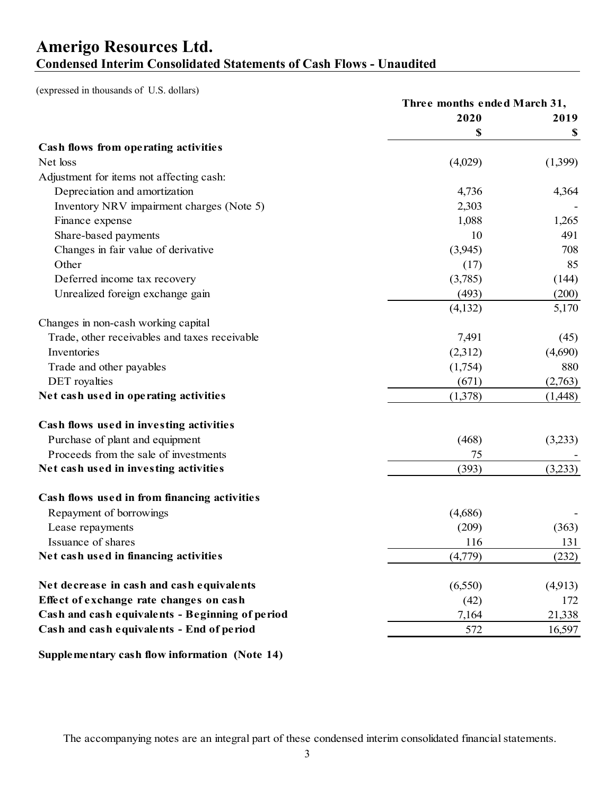### **Amerigo Resources Ltd. Condensed Interim Consolidated Statements of Cash Flows - Unaudited**

(expressed in thousands of U.S. dollars)

|                                                 | Three months ended March 31, |         |
|-------------------------------------------------|------------------------------|---------|
|                                                 | 2020                         | 2019    |
|                                                 | \$                           | \$      |
| Cash flows from operating activities            |                              |         |
| Net loss                                        | (4,029)                      | (1,399) |
| Adjustment for items not affecting cash:        |                              |         |
| Depreciation and amortization                   | 4,736                        | 4,364   |
| Inventory NRV impairment charges (Note 5)       | 2,303                        |         |
| Finance expense                                 | 1,088                        | 1,265   |
| Share-based payments                            | 10                           | 491     |
| Changes in fair value of derivative             | (3,945)                      | 708     |
| Other                                           | (17)                         | 85      |
| Deferred income tax recovery                    | (3,785)                      | (144)   |
| Unrealized foreign exchange gain                | (493)                        | (200)   |
|                                                 | (4, 132)                     | 5,170   |
| Changes in non-cash working capital             |                              |         |
| Trade, other receivables and taxes receivable   | 7,491                        | (45)    |
| Inventories                                     | (2,312)                      | (4,690) |
| Trade and other payables                        | (1,754)                      | 880     |
| DET royalties                                   | (671)                        | (2,763) |
| Net cash used in operating activities           | (1,378)                      | (1,448) |
| Cash flows used in investing activities         |                              |         |
| Purchase of plant and equipment                 | (468)                        | (3,233) |
| Proceeds from the sale of investments           | 75                           |         |
| Net cash used in investing activities           | (393)                        | (3,233) |
| Cash flows used in from financing activities    |                              |         |
| Repayment of borrowings                         | (4,686)                      |         |
| Lease repayments                                | (209)                        | (363)   |
| Issuance of shares                              | 116                          | 131     |
| Net cash used in financing activities           | (4,779)                      | (232)   |
|                                                 |                              |         |
| Net decrease in cash and cash equivalents       | (6,550)                      | (4,913) |
| Effect of exchange rate changes on cash         | (42)                         | 172     |
| Cash and cash equivalents - Beginning of period | 7,164                        | 21,338  |
| Cash and cash equivalents - End of period       | 572                          | 16,597  |

**Supplementary cash flow information (Note 14)**

The accompanying notes are an integral part of these condensed interim consolidated financial statements.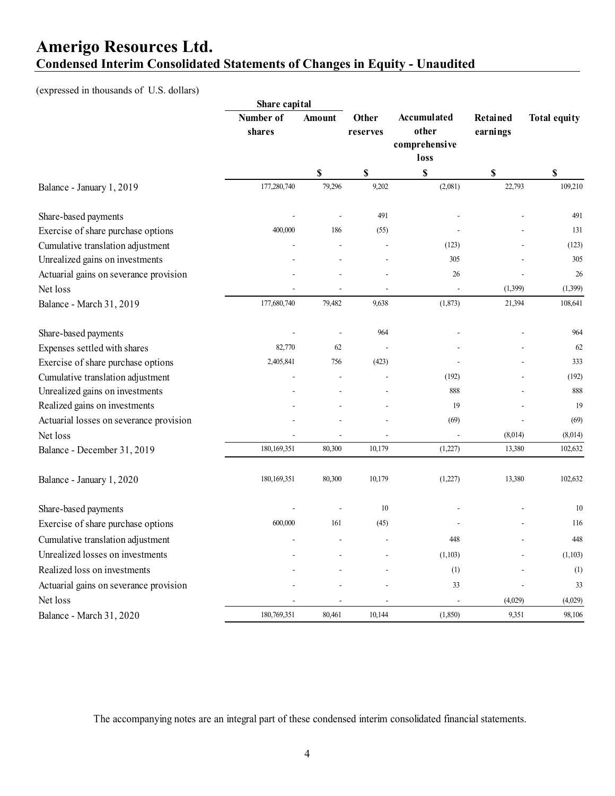### **Amerigo Resources Ltd. Condensed Interim Consolidated Statements of Changes in Equity - Unaudited**

(expressed in thousands of U.S. dollars)

|                                         | Share capital       |               |                   |                                                      |                      |                     |
|-----------------------------------------|---------------------|---------------|-------------------|------------------------------------------------------|----------------------|---------------------|
|                                         | Number of<br>shares | <b>Amount</b> | Other<br>reserves | <b>Accumulated</b><br>other<br>comprehensive<br>loss | Retained<br>earnings | <b>Total equity</b> |
|                                         |                     | \$            | \$                | \$                                                   | \$                   | \$                  |
| Balance - January 1, 2019               | 177,280,740         | 79,296        | 9,202             | (2,081)                                              | 22,793               | 109,210             |
| Share-based payments                    |                     |               | 491               |                                                      |                      | 491                 |
| Exercise of share purchase options      | 400,000             | 186           | (55)              |                                                      |                      | 131                 |
| Cumulative translation adjustment       |                     |               |                   | (123)                                                |                      | (123)               |
| Unrealized gains on investments         |                     |               |                   | 305                                                  |                      | 305                 |
| Actuarial gains on severance provision  |                     |               |                   | 26                                                   |                      | 26                  |
| Net loss                                |                     |               |                   |                                                      | (1,399)              | (1, 399)            |
| Balance - March 31, 2019                | 177,680,740         | 79,482        | 9,638             | (1, 873)                                             | 21,394               | 108,641             |
| Share-based payments                    |                     | L,            | 964               |                                                      |                      | 964                 |
| Expenses settled with shares            | 82,770              | 62            |                   |                                                      |                      | 62                  |
| Exercise of share purchase options      | 2,405,841           | 756           | (423)             |                                                      |                      | 333                 |
| Cumulative translation adjustment       |                     |               |                   | (192)                                                |                      | (192)               |
| Unrealized gains on investments         |                     |               |                   | 888                                                  |                      | 888                 |
| Realized gains on investments           |                     |               |                   | 19                                                   |                      | 19                  |
| Actuarial losses on severance provision |                     |               |                   | (69)                                                 |                      | (69)                |
| Net loss                                |                     |               |                   |                                                      | (8,014)              | (8,014)             |
| Balance - December 31, 2019             | 180, 169, 351       | 80,300        | 10,179            | (1,227)                                              | 13,380               | 102,632             |
| Balance - January 1, 2020               | 180, 169, 351       | 80,300        | 10,179            | (1,227)                                              | 13,380               | 102,632             |
| Share-based payments                    |                     |               | 10                |                                                      |                      | 10                  |
| Exercise of share purchase options      | 600,000             | 161           | (45)              |                                                      |                      | 116                 |
| Cumulative translation adjustment       |                     |               |                   | 448                                                  |                      | 448                 |
| Unrealized losses on investments        |                     |               |                   | (1,103)                                              |                      | (1,103)             |
| Realized loss on investments            |                     |               |                   | (1)                                                  |                      | (1)                 |
| Actuarial gains on severance provision  |                     |               |                   | 33                                                   |                      | 33                  |
| Net loss                                |                     |               |                   |                                                      | (4,029)              | (4,029)             |
| Balance - March 31, 2020                | 180,769,351         | 80,461        | 10,144            | (1, 850)                                             | 9,351                | 98,106              |

The accompanying notes are an integral part of these condensed interim consolidated financial statements.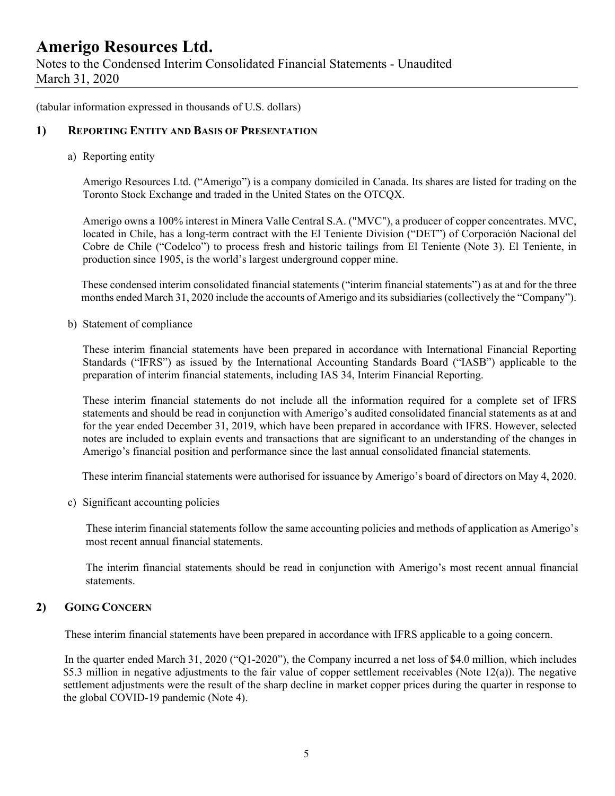Notes to the Condensed Interim Consolidated Financial Statements - Unaudited March 31, 2020

(tabular information expressed in thousands of U.S. dollars)

#### **1) REPORTING ENTITY AND BASIS OF PRESENTATION**

a) Reporting entity

Amerigo Resources Ltd. ("Amerigo") is a company domiciled in Canada. Its shares are listed for trading on the Toronto Stock Exchange and traded in the United States on the OTCQX.

Amerigo owns a 100% interest in Minera Valle Central S.A. ("MVC"), a producer of copper concentrates. MVC, located in Chile, has a long-term contract with the El Teniente Division ("DET") of Corporación Nacional del Cobre de Chile ("Codelco") to process fresh and historic tailings from El Teniente (Note 3). El Teniente, in production since 1905, is the world's largest underground copper mine.

These condensed interim consolidated financial statements ("interim financial statements") as at and for the three months ended March 31, 2020 include the accounts of Amerigo and its subsidiaries (collectively the "Company").

b) Statement of compliance

These interim financial statements have been prepared in accordance with International Financial Reporting Standards ("IFRS") as issued by the International Accounting Standards Board ("IASB") applicable to the preparation of interim financial statements, including IAS 34, Interim Financial Reporting.

These interim financial statements do not include all the information required for a complete set of IFRS statements and should be read in conjunction with Amerigo's audited consolidated financial statements as at and for the year ended December 31, 2019, which have been prepared in accordance with IFRS. However, selected notes are included to explain events and transactions that are significant to an understanding of the changes in Amerigo's financial position and performance since the last annual consolidated financial statements.

These interim financial statements were authorised for issuance by Amerigo's board of directors on May 4, 2020.

c) Significant accounting policies

These interim financial statements follow the same accounting policies and methods of application as Amerigo's most recent annual financial statements.

The interim financial statements should be read in conjunction with Amerigo's most recent annual financial statements.

#### **2) GOING CONCERN**

These interim financial statements have been prepared in accordance with IFRS applicable to a going concern.

In the quarter ended March 31, 2020 ("Q1-2020"), the Company incurred a net loss of \$4.0 million, which includes \$5.3 million in negative adjustments to the fair value of copper settlement receivables (Note  $12(a)$ ). The negative settlement adjustments were the result of the sharp decline in market copper prices during the quarter in response to the global COVID-19 pandemic (Note 4).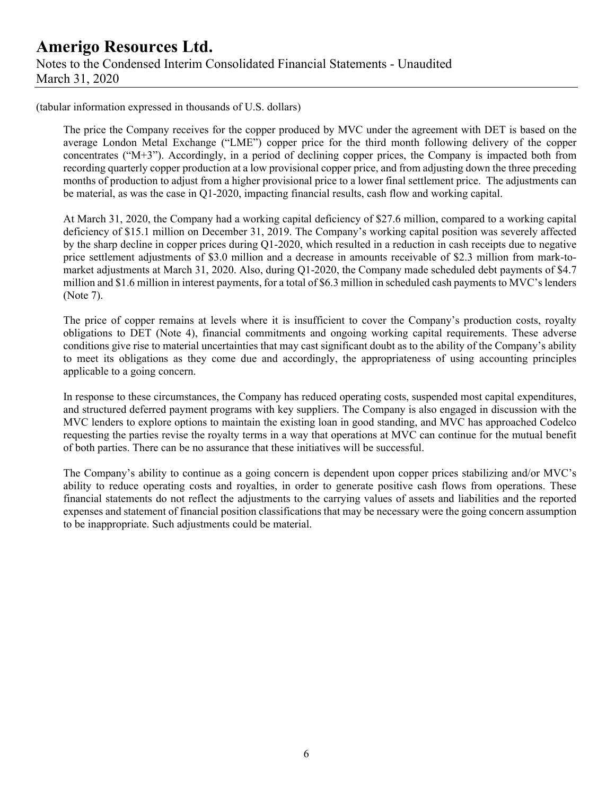(tabular information expressed in thousands of U.S. dollars)

The price the Company receives for the copper produced by MVC under the agreement with DET is based on the average London Metal Exchange ("LME") copper price for the third month following delivery of the copper concentrates ("M+3"). Accordingly, in a period of declining copper prices, the Company is impacted both from recording quarterly copper production at a low provisional copper price, and from adjusting down the three preceding months of production to adjust from a higher provisional price to a lower final settlement price. The adjustments can be material, as was the case in Q1-2020, impacting financial results, cash flow and working capital.

At March 31, 2020, the Company had a working capital deficiency of \$27.6 million, compared to a working capital deficiency of \$15.1 million on December 31, 2019. The Company's working capital position was severely affected by the sharp decline in copper prices during Q1-2020, which resulted in a reduction in cash receipts due to negative price settlement adjustments of \$3.0 million and a decrease in amounts receivable of \$2.3 million from mark-tomarket adjustments at March 31, 2020. Also, during Q1-2020, the Company made scheduled debt payments of \$4.7 million and \$1.6 million in interest payments, for a total of \$6.3 million in scheduled cash payments to MVC's lenders (Note 7).

The price of copper remains at levels where it is insufficient to cover the Company's production costs, royalty obligations to DET (Note 4), financial commitments and ongoing working capital requirements. These adverse conditions give rise to material uncertainties that may cast significant doubt as to the ability of the Company's ability to meet its obligations as they come due and accordingly, the appropriateness of using accounting principles applicable to a going concern.

In response to these circumstances, the Company has reduced operating costs, suspended most capital expenditures, and structured deferred payment programs with key suppliers. The Company is also engaged in discussion with the MVC lenders to explore options to maintain the existing loan in good standing, and MVC has approached Codelco requesting the parties revise the royalty terms in a way that operations at MVC can continue for the mutual benefit of both parties. There can be no assurance that these initiatives will be successful.

The Company's ability to continue as a going concern is dependent upon copper prices stabilizing and/or MVC's ability to reduce operating costs and royalties, in order to generate positive cash flows from operations. These financial statements do not reflect the adjustments to the carrying values of assets and liabilities and the reported expenses and statement of financial position classifications that may be necessary were the going concern assumption to be inappropriate. Such adjustments could be material.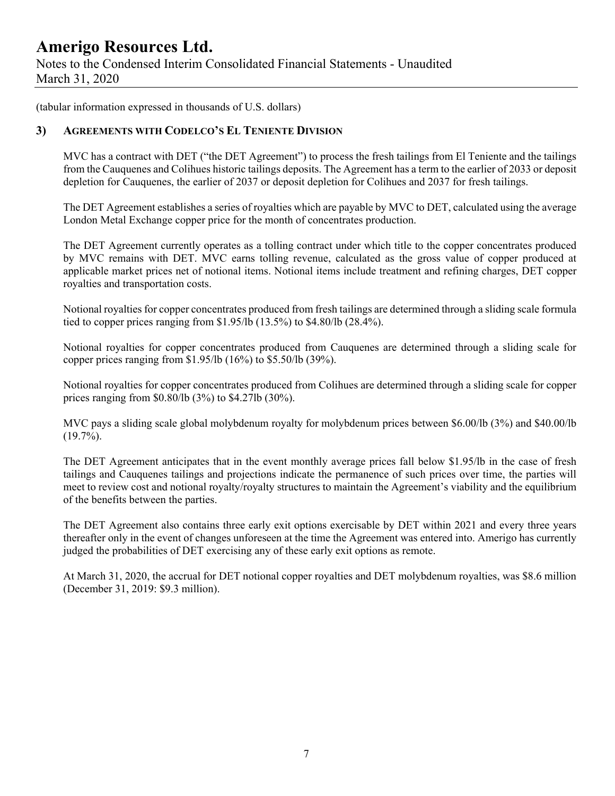Notes to the Condensed Interim Consolidated Financial Statements - Unaudited March 31, 2020

(tabular information expressed in thousands of U.S. dollars)

#### **3) AGREEMENTS WITH CODELCO'S EL TENIENTE DIVISION**

MVC has a contract with DET ("the DET Agreement") to process the fresh tailings from El Teniente and the tailings from the Cauquenes and Colihues historic tailings deposits. The Agreement has a term to the earlier of 2033 or deposit depletion for Cauquenes, the earlier of 2037 or deposit depletion for Colihues and 2037 for fresh tailings.

The DET Agreement establishes a series of royalties which are payable by MVC to DET, calculated using the average London Metal Exchange copper price for the month of concentrates production.

The DET Agreement currently operates as a tolling contract under which title to the copper concentrates produced by MVC remains with DET. MVC earns tolling revenue, calculated as the gross value of copper produced at applicable market prices net of notional items. Notional items include treatment and refining charges, DET copper royalties and transportation costs.

Notional royalties for copper concentrates produced from fresh tailings are determined through a sliding scale formula tied to copper prices ranging from \$1.95/lb (13.5%) to \$4.80/lb (28.4%).

Notional royalties for copper concentrates produced from Cauquenes are determined through a sliding scale for copper prices ranging from \$1.95/lb (16%) to \$5.50/lb (39%).

Notional royalties for copper concentrates produced from Colihues are determined through a sliding scale for copper prices ranging from \$0.80/lb (3%) to \$4.27lb (30%).

MVC pays a sliding scale global molybdenum royalty for molybdenum prices between \$6.00/lb (3%) and \$40.00/lb (19.7%).

The DET Agreement anticipates that in the event monthly average prices fall below \$1.95/lb in the case of fresh tailings and Cauquenes tailings and projections indicate the permanence of such prices over time, the parties will meet to review cost and notional royalty/royalty structures to maintain the Agreement's viability and the equilibrium of the benefits between the parties.

The DET Agreement also contains three early exit options exercisable by DET within 2021 and every three years thereafter only in the event of changes unforeseen at the time the Agreement was entered into. Amerigo has currently judged the probabilities of DET exercising any of these early exit options as remote.

At March 31, 2020, the accrual for DET notional copper royalties and DET molybdenum royalties, was \$8.6 million (December 31, 2019: \$9.3 million).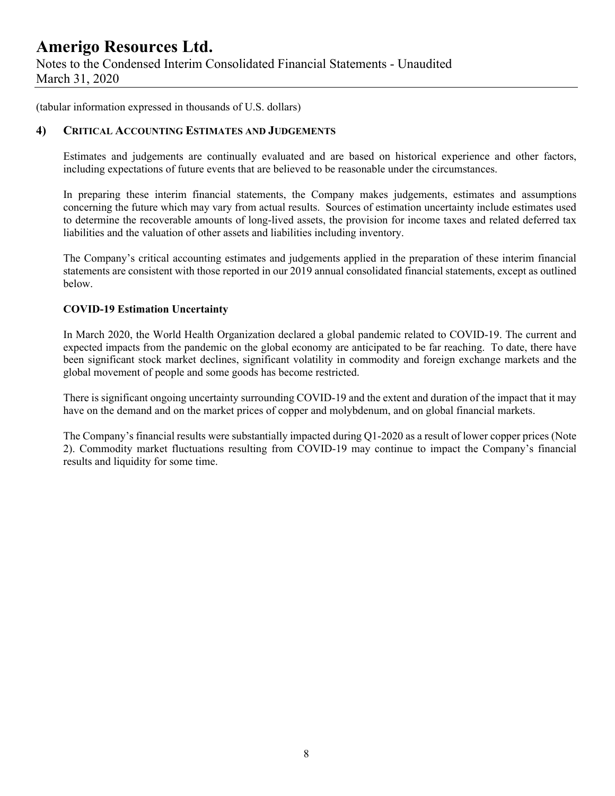Notes to the Condensed Interim Consolidated Financial Statements - Unaudited March 31, 2020

(tabular information expressed in thousands of U.S. dollars)

#### **4) CRITICAL ACCOUNTING ESTIMATES AND JUDGEMENTS**

Estimates and judgements are continually evaluated and are based on historical experience and other factors, including expectations of future events that are believed to be reasonable under the circumstances.

In preparing these interim financial statements, the Company makes judgements, estimates and assumptions concerning the future which may vary from actual results. Sources of estimation uncertainty include estimates used to determine the recoverable amounts of long-lived assets, the provision for income taxes and related deferred tax liabilities and the valuation of other assets and liabilities including inventory.

The Company's critical accounting estimates and judgements applied in the preparation of these interim financial statements are consistent with those reported in our 2019 annual consolidated financial statements, except as outlined below.

#### **COVID-19 Estimation Uncertainty**

In March 2020, the World Health Organization declared a global pandemic related to COVID-19. The current and expected impacts from the pandemic on the global economy are anticipated to be far reaching. To date, there have been significant stock market declines, significant volatility in commodity and foreign exchange markets and the global movement of people and some goods has become restricted.

There is significant ongoing uncertainty surrounding COVID-19 and the extent and duration of the impact that it may have on the demand and on the market prices of copper and molybdenum, and on global financial markets.

The Company's financial results were substantially impacted during Q1-2020 as a result of lower copper prices (Note 2). Commodity market fluctuations resulting from COVID-19 may continue to impact the Company's financial results and liquidity for some time.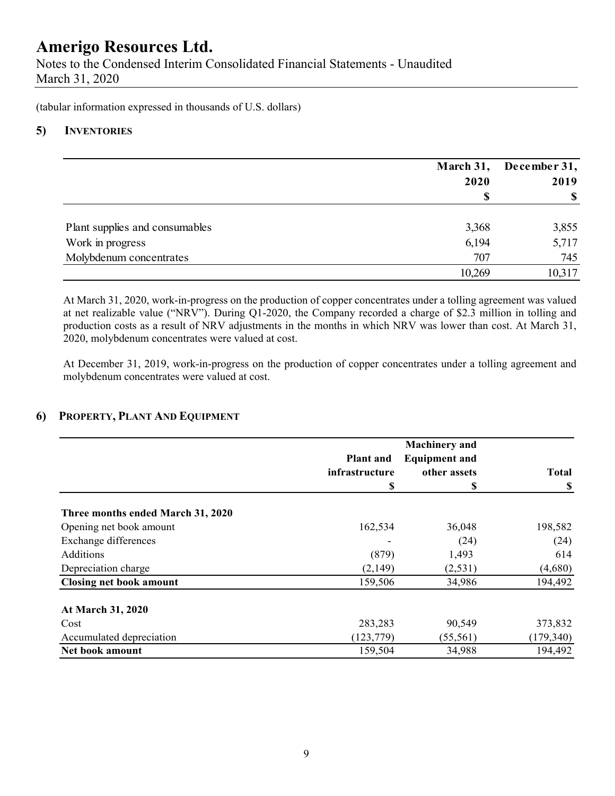Notes to the Condensed Interim Consolidated Financial Statements - Unaudited March 31, 2020

(tabular information expressed in thousands of U.S. dollars)

#### **5) INVENTORIES**

|                                | March 31, | December 31,  |  |
|--------------------------------|-----------|---------------|--|
|                                | 2020      | 2019          |  |
|                                | \$        | $\mathbf{\$}$ |  |
| Plant supplies and consumables | 3,368     | 3,855         |  |
| Work in progress               | 6,194     | 5,717         |  |
| Molybdenum concentrates        | 707       | 745           |  |
|                                | 10,269    | 10,317        |  |

At March 31, 2020, work-in-progress on the production of copper concentrates under a tolling agreement was valued at net realizable value ("NRV"). During Q1-2020, the Company recorded a charge of \$2.3 million in tolling and production costs as a result of NRV adjustments in the months in which NRV was lower than cost. At March 31, 2020, molybdenum concentrates were valued at cost.

At December 31, 2019, work-in-progress on the production of copper concentrates under a tolling agreement and molybdenum concentrates were valued at cost.

#### **6) PROPERTY, PLANT AND EQUIPMENT**

|                                   | <b>Plant and</b><br><i>infrastructure</i><br>\$ | <b>Machinery</b> and<br><b>Equipment and</b><br>other assets<br>\$ | <b>Total</b><br>S |
|-----------------------------------|-------------------------------------------------|--------------------------------------------------------------------|-------------------|
|                                   |                                                 |                                                                    |                   |
| Three months ended March 31, 2020 |                                                 |                                                                    |                   |
| Opening net book amount           | 162,534                                         | 36,048                                                             | 198,582           |
| Exchange differences              |                                                 | (24)                                                               | (24)              |
| <b>Additions</b>                  | (879)                                           | 1,493                                                              | 614               |
| Depreciation charge               | (2,149)                                         | (2,531)                                                            | (4,680)           |
| <b>Closing net book amount</b>    | 159,506                                         | 34,986                                                             | 194,492           |
| At March 31, 2020                 |                                                 |                                                                    |                   |
| Cost                              | 283,283                                         | 90,549                                                             | 373,832           |
| Accumulated depreciation          | (123, 779)                                      | (55, 561)                                                          | (179, 340)        |
| Net book amount                   | 159,504                                         | 34,988                                                             | 194,492           |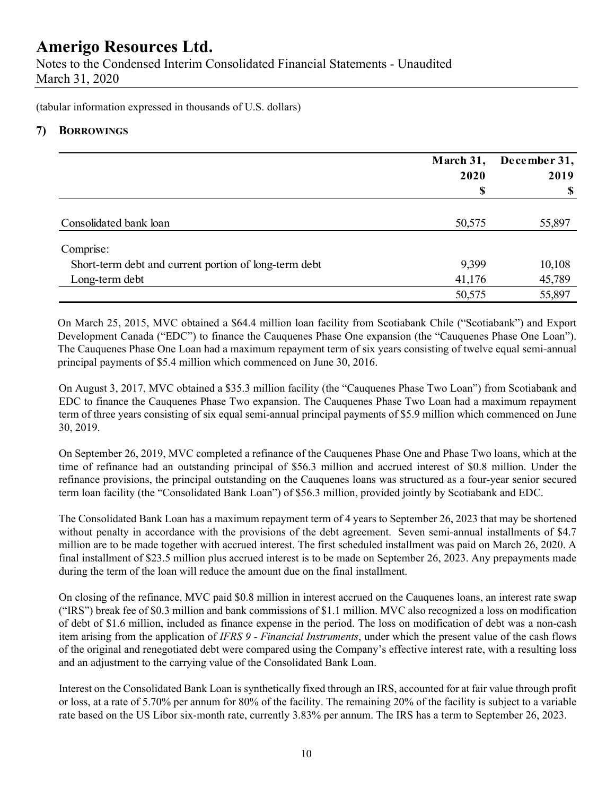Notes to the Condensed Interim Consolidated Financial Statements - Unaudited March 31, 2020

(tabular information expressed in thousands of U.S. dollars)

#### **7) BORROWINGS**

|                                                       | March 31,<br>2020 | December 31,<br>2019 |
|-------------------------------------------------------|-------------------|----------------------|
|                                                       | S                 | <sup>\$</sup>        |
| Consolidated bank loan                                | 50,575            | 55,897               |
| Comprise:                                             |                   |                      |
| Short-term debt and current portion of long-term debt | 9,399             | 10,108               |
| Long-term debt                                        | 41,176            | 45,789               |
|                                                       | 50,575            | 55,897               |

On March 25, 2015, MVC obtained a \$64.4 million loan facility from Scotiabank Chile ("Scotiabank") and Export Development Canada ("EDC") to finance the Cauquenes Phase One expansion (the "Cauquenes Phase One Loan"). The Cauquenes Phase One Loan had a maximum repayment term of six years consisting of twelve equal semi-annual principal payments of \$5.4 million which commenced on June 30, 2016.

On August 3, 2017, MVC obtained a \$35.3 million facility (the "Cauquenes Phase Two Loan") from Scotiabank and EDC to finance the Cauquenes Phase Two expansion. The Cauquenes Phase Two Loan had a maximum repayment term of three years consisting of six equal semi-annual principal payments of \$5.9 million which commenced on June 30, 2019.

On September 26, 2019, MVC completed a refinance of the Cauquenes Phase One and Phase Two loans, which at the time of refinance had an outstanding principal of \$56.3 million and accrued interest of \$0.8 million. Under the refinance provisions, the principal outstanding on the Cauquenes loans was structured as a four-year senior secured term loan facility (the "Consolidated Bank Loan") of \$56.3 million, provided jointly by Scotiabank and EDC.

The Consolidated Bank Loan has a maximum repayment term of 4 years to September 26, 2023 that may be shortened without penalty in accordance with the provisions of the debt agreement. Seven semi-annual installments of \$4.7 million are to be made together with accrued interest. The first scheduled installment was paid on March 26, 2020. A final installment of \$23.5 million plus accrued interest is to be made on September 26, 2023. Any prepayments made during the term of the loan will reduce the amount due on the final installment.

On closing of the refinance, MVC paid \$0.8 million in interest accrued on the Cauquenes loans, an interest rate swap ("IRS") break fee of \$0.3 million and bank commissions of \$1.1 million. MVC also recognized a loss on modification of debt of \$1.6 million, included as finance expense in the period. The loss on modification of debt was a non-cash item arising from the application of *IFRS 9 - Financial Instruments*, under which the present value of the cash flows of the original and renegotiated debt were compared using the Company's effective interest rate, with a resulting loss and an adjustment to the carrying value of the Consolidated Bank Loan.

Interest on the Consolidated Bank Loan is synthetically fixed through an IRS, accounted for at fair value through profit or loss, at a rate of 5.70% per annum for 80% of the facility. The remaining 20% of the facility is subject to a variable rate based on the US Libor six-month rate, currently 3.83% per annum. The IRS has a term to September 26, 2023.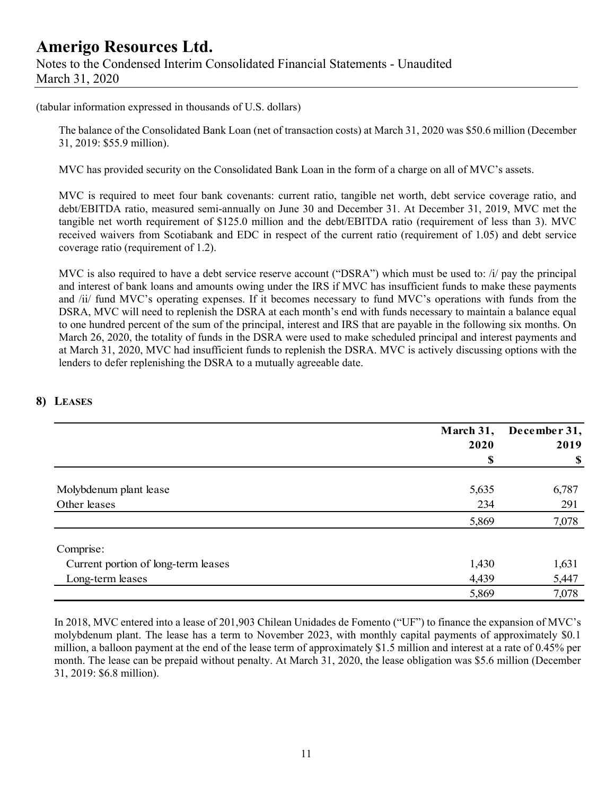(tabular information expressed in thousands of U.S. dollars)

The balance of the Consolidated Bank Loan (net of transaction costs) at March 31, 2020 was \$50.6 million (December 31, 2019: \$55.9 million).

MVC has provided security on the Consolidated Bank Loan in the form of a charge on all of MVC's assets.

MVC is required to meet four bank covenants: current ratio, tangible net worth, debt service coverage ratio, and debt/EBITDA ratio, measured semi-annually on June 30 and December 31. At December 31, 2019, MVC met the tangible net worth requirement of \$125.0 million and the debt/EBITDA ratio (requirement of less than 3). MVC received waivers from Scotiabank and EDC in respect of the current ratio (requirement of 1.05) and debt service coverage ratio (requirement of 1.2).

MVC is also required to have a debt service reserve account ("DSRA") which must be used to: /i/ pay the principal and interest of bank loans and amounts owing under the IRS if MVC has insufficient funds to make these payments and /ii/ fund MVC's operating expenses. If it becomes necessary to fund MVC's operations with funds from the DSRA, MVC will need to replenish the DSRA at each month's end with funds necessary to maintain a balance equal to one hundred percent of the sum of the principal, interest and IRS that are payable in the following six months. On March 26, 2020, the totality of funds in the DSRA were used to make scheduled principal and interest payments and at March 31, 2020, MVC had insufficient funds to replenish the DSRA. MVC is actively discussing options with the lenders to defer replenishing the DSRA to a mutually agreeable date.

|                                     | March 31,  | December 31, |
|-------------------------------------|------------|--------------|
|                                     | 2020<br>\$ | 2019<br>\$   |
|                                     |            |              |
| Molybdenum plant lease              | 5,635      | 6,787        |
| Other leases                        | 234        | 291          |
|                                     | 5,869      | 7,078        |
| Comprise:                           |            |              |
| Current portion of long-term leases | 1,430      | 1,631        |
| Long-term leases                    | 4,439      | 5,447        |
|                                     | 5,869      | 7,078        |

#### **8) LEASES**

In 2018, MVC entered into a lease of 201,903 Chilean Unidades de Fomento ("UF") to finance the expansion of MVC's molybdenum plant. The lease has a term to November 2023, with monthly capital payments of approximately \$0.1 million, a balloon payment at the end of the lease term of approximately \$1.5 million and interest at a rate of 0.45% per month. The lease can be prepaid without penalty. At March 31, 2020, the lease obligation was \$5.6 million (December 31, 2019: \$6.8 million).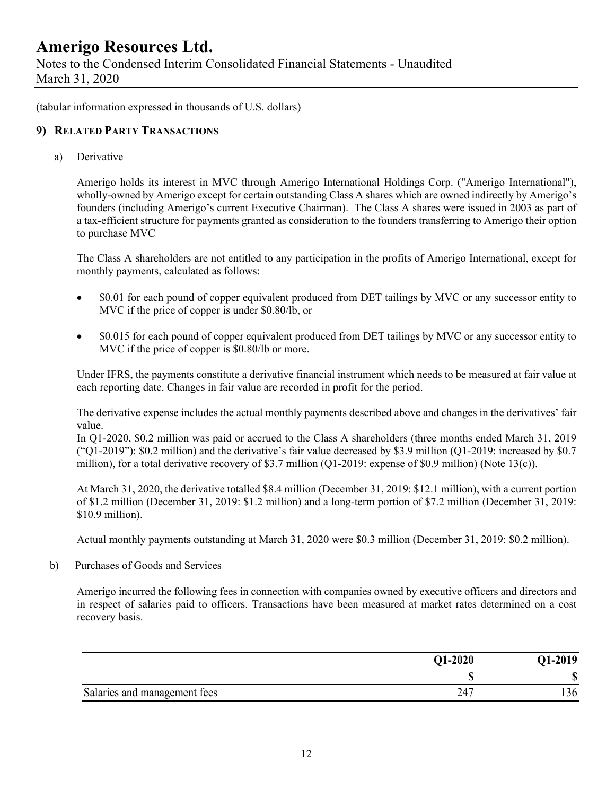(tabular information expressed in thousands of U.S. dollars)

#### **9) RELATED PARTY TRANSACTIONS**

a) Derivative

Amerigo holds its interest in MVC through Amerigo International Holdings Corp. ("Amerigo International"), wholly-owned by Amerigo except for certain outstanding Class A shares which are owned indirectly by Amerigo's founders (including Amerigo's current Executive Chairman). The Class A shares were issued in 2003 as part of a tax-efficient structure for payments granted as consideration to the founders transferring to Amerigo their option to purchase MVC

The Class A shareholders are not entitled to any participation in the profits of Amerigo International, except for monthly payments, calculated as follows:

- \$0.01 for each pound of copper equivalent produced from DET tailings by MVC or any successor entity to MVC if the price of copper is under \$0.80/lb, or
- \$0.015 for each pound of copper equivalent produced from DET tailings by MVC or any successor entity to MVC if the price of copper is \$0.80/lb or more.

Under IFRS, the payments constitute a derivative financial instrument which needs to be measured at fair value at each reporting date. Changes in fair value are recorded in profit for the period.

The derivative expense includes the actual monthly payments described above and changes in the derivatives' fair value.

In Q1-2020, \$0.2 million was paid or accrued to the Class A shareholders (three months ended March 31, 2019 ("Q1-2019"): \$0.2 million) and the derivative's fair value decreased by \$3.9 million (Q1-2019: increased by \$0.7) million), for a total derivative recovery of \$3.7 million (Q1-2019: expense of \$0.9 million) (Note 13(c)).

At March 31, 2020, the derivative totalled \$8.4 million (December 31, 2019: \$12.1 million), with a current portion of \$1.2 million (December 31, 2019: \$1.2 million) and a long-term portion of \$7.2 million (December 31, 2019: \$10.9 million).

Actual monthly payments outstanding at March 31, 2020 were \$0.3 million (December 31, 2019: \$0.2 million).

b) Purchases of Goods and Services

Amerigo incurred the following fees in connection with companies owned by executive officers and directors and in respect of salaries paid to officers. Transactions have been measured at market rates determined on a cost recovery basis.

|                              | <b>Q1-2020</b> | 01-2019      |
|------------------------------|----------------|--------------|
|                              |                | ۱D           |
| Salaries and management fees | 247            | $\sim$<br>36 |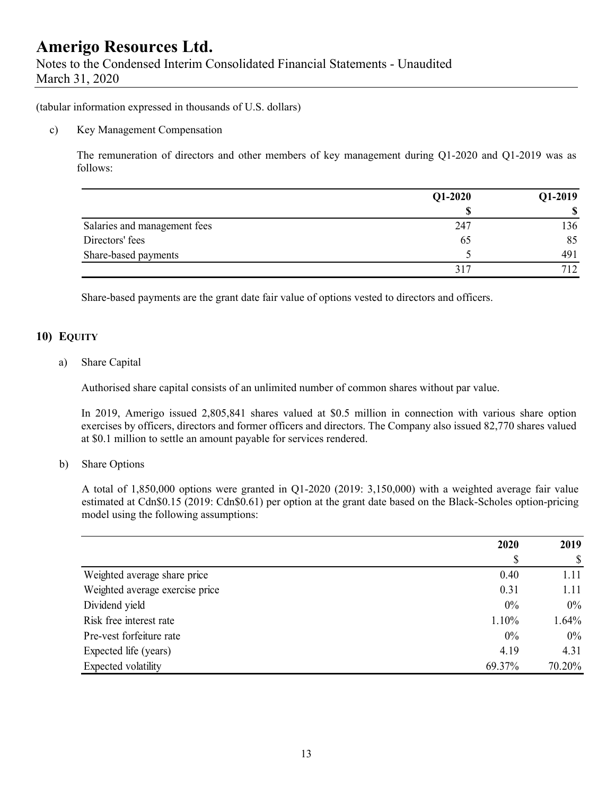(tabular information expressed in thousands of U.S. dollars)

#### c) Key Management Compensation

The remuneration of directors and other members of key management during Q1-2020 and Q1-2019 was as follows:

|                              | $Q1-2020$ | Q1-2019 |  |
|------------------------------|-----------|---------|--|
|                              |           |         |  |
| Salaries and management fees | 247       | 136     |  |
| Directors' fees              | 65        | 85      |  |
| Share-based payments         |           | 491     |  |
|                              | 317       |         |  |

Share-based payments are the grant date fair value of options vested to directors and officers.

#### **10) EQUITY**

#### a) Share Capital

Authorised share capital consists of an unlimited number of common shares without par value.

In 2019, Amerigo issued 2,805,841 shares valued at \$0.5 million in connection with various share option exercises by officers, directors and former officers and directors. The Company also issued 82,770 shares valued at \$0.1 million to settle an amount payable for services rendered.

#### b) Share Options

A total of 1,850,000 options were granted in Q1-2020 (2019: 3,150,000) with a weighted average fair value estimated at Cdn\$0.15 (2019: Cdn\$0.61) per option at the grant date based on the Black-Scholes option-pricing model using the following assumptions:

|                                 | 2020   | 2019          |
|---------------------------------|--------|---------------|
|                                 | \$     | $\mathcal{S}$ |
| Weighted average share price    | 0.40   | 1.11          |
| Weighted average exercise price | 0.31   | 1.11          |
| Dividend yield                  | 0%     | $0\%$         |
| Risk free interest rate         | 1.10%  | 1.64%         |
| Pre-vest forfeiture rate        | $0\%$  | $0\%$         |
| Expected life (years)           | 4.19   | 4.31          |
| Expected volatility             | 69.37% | 70.20%        |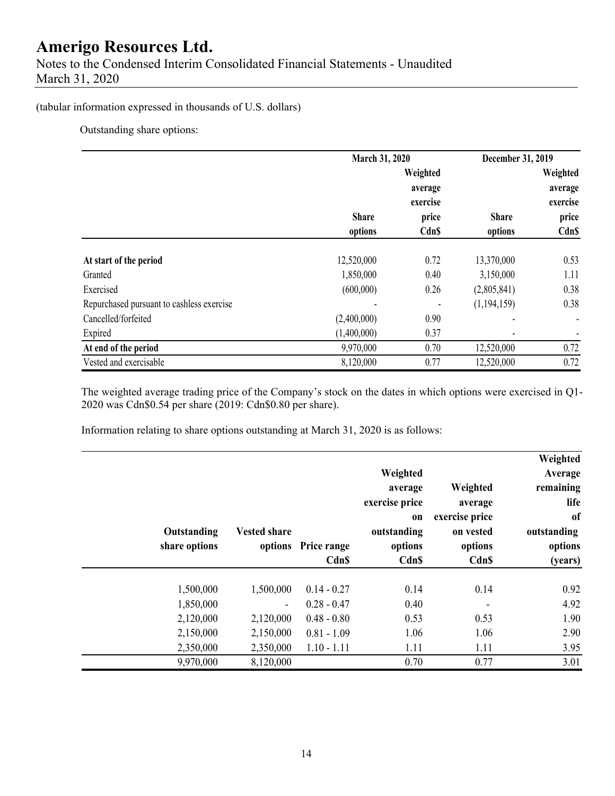#### (tabular information expressed in thousands of U.S. dollars)

Outstanding share options:

|                                           |              | March 31, 2020 |              | December 31, 2019 |
|-------------------------------------------|--------------|----------------|--------------|-------------------|
|                                           |              | Weighted       |              | Weighted          |
|                                           |              | average        |              | average           |
|                                           |              | exercise       |              | exercise          |
|                                           | <b>Share</b> | price          | <b>Share</b> | price             |
|                                           | options      | <b>CdnS</b>    | options      | <b>Cdn\$</b>      |
| At start of the period                    | 12,520,000   | 0.72           | 13,370,000   | 0.53              |
| Granted                                   | 1,850,000    | 0.40           | 3,150,000    | 1.11              |
| Exercised                                 | (600,000)    | 0.26           | (2,805,841)  | 0.38              |
| Repurchased pursuant to cashless exercise |              |                | (1,194,159)  | 0.38              |
| Cancelled/forfeited                       | (2,400,000)  | 0.90           |              |                   |
| Expired                                   | (1,400,000)  | 0.37           |              |                   |
| At end of the period                      | 9,970,000    | 0.70           | 12,520,000   | 0.72              |
| Vested and exercisable                    | 8,120,000    | 0.77           | 12,520,000   | 0.72              |

The weighted average trading price of the Company's stock on the dates in which options were exercised in Q1- 2020 was Cdn\$0.54 per share (2019: Cdn\$0.80 per share).

Information relating to share options outstanding at March 31, 2020 is as follows:

|               |                     |                     |                |                | Weighted      |
|---------------|---------------------|---------------------|----------------|----------------|---------------|
|               |                     |                     | Weighted       |                | Average       |
|               |                     |                     | average        | Weighted       | remaining     |
|               |                     |                     | exercise price | average        | life          |
|               |                     |                     | on             | exercise price | <sub>of</sub> |
| Outstanding   | <b>Vested share</b> |                     | outstanding    | on vested      | outstanding   |
| share options |                     | options Price range | options        | options        | options       |
|               |                     | <b>Cdn\$</b>        | Cdn\$          | <b>Cdn\$</b>   | (years)       |
|               |                     |                     |                |                |               |
| 1,500,000     | 1,500,000           | $0.14 - 0.27$       | 0.14           | 0.14           | 0.92          |
| 1,850,000     | $\blacksquare$      | $0.28 - 0.47$       | 0.40           |                | 4.92          |
| 2,120,000     | 2,120,000           | $0.48 - 0.80$       | 0.53           | 0.53           | 1.90          |
| 2,150,000     | 2,150,000           | $0.81 - 1.09$       | 1.06           | 1.06           | 2.90          |
| 2,350,000     | 2,350,000           | $1.10 - 1.11$       | 1.11           | 1.11           | 3.95          |
| 9,970,000     | 8,120,000           |                     | 0.70           | 0.77           | 3.01          |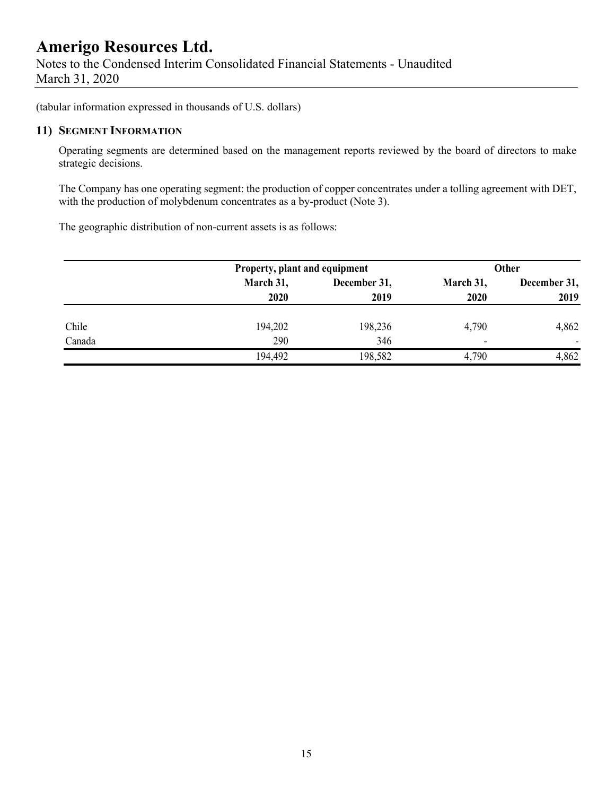Notes to the Condensed Interim Consolidated Financial Statements - Unaudited March 31, 2020

(tabular information expressed in thousands of U.S. dollars)

#### **11) SEGMENT INFORMATION**

Operating segments are determined based on the management reports reviewed by the board of directors to make strategic decisions.

The Company has one operating segment: the production of copper concentrates under a tolling agreement with DET, with the production of molybdenum concentrates as a by-product (Note 3).

The geographic distribution of non-current assets is as follows:

|        |           | Property, plant and equipment |                          | <b>Other</b> |  |  |
|--------|-----------|-------------------------------|--------------------------|--------------|--|--|
|        | March 31, | December 31,                  | March 31,                | December 31, |  |  |
|        | 2020      | 2019                          | 2020                     | 2019         |  |  |
| Chile  | 194,202   | 198,236                       | 4,790                    | 4,862        |  |  |
| Canada | 290       | 346                           | $\overline{\phantom{0}}$ |              |  |  |
|        | 194,492   | 198,582                       | 4,790                    | 4,862        |  |  |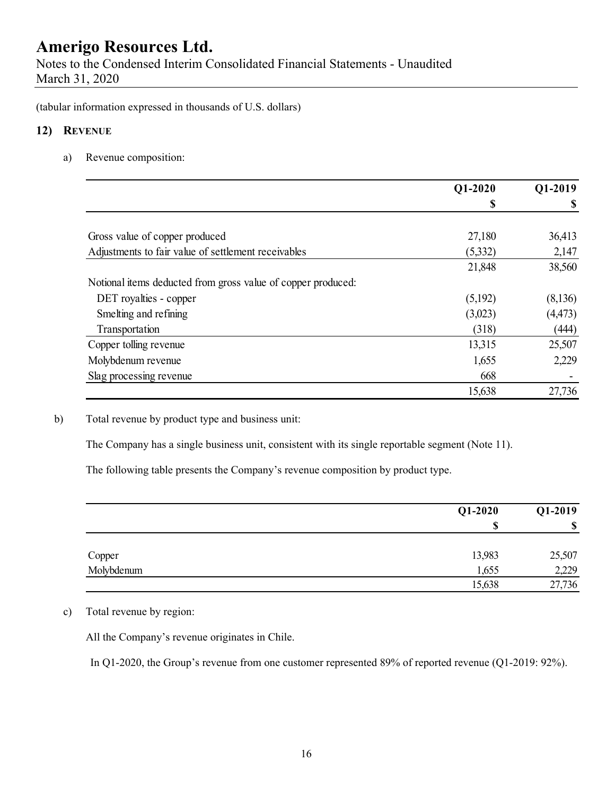Notes to the Condensed Interim Consolidated Financial Statements - Unaudited March 31, 2020

(tabular information expressed in thousands of U.S. dollars)

#### **12) REVENUE**

a) Revenue composition:

|                                                              | $Q1-2020$ | Q1-2019  |
|--------------------------------------------------------------|-----------|----------|
|                                                              | S         | S        |
|                                                              |           |          |
| Gross value of copper produced                               | 27,180    | 36,413   |
| Adjustments to fair value of settlement receivables          | (5,332)   | 2,147    |
|                                                              | 21,848    | 38,560   |
| Notional items deducted from gross value of copper produced: |           |          |
| DET royalties - copper                                       | (5,192)   | (8,136)  |
| Smelting and refining                                        | (3,023)   | (4, 473) |
| Transportation                                               | (318)     | (444)    |
| Copper tolling revenue                                       | 13,315    | 25,507   |
| Molybdenum revenue                                           | 1,655     | 2,229    |
| Slag processing revenue                                      | 668       |          |
|                                                              | 15,638    | 27,736   |

b) Total revenue by product type and business unit:

The Company has a single business unit, consistent with its single reportable segment (Note 11).

The following table presents the Company's revenue composition by product type.

|            | $Q1-2020$ | Q1-2019 |  |
|------------|-----------|---------|--|
|            | S         | S       |  |
|            |           |         |  |
| Copper     | 13,983    | 25,507  |  |
| Molybdenum | 1,655     | 2,229   |  |
|            | 15,638    | 27,736  |  |

c) Total revenue by region:

All the Company's revenue originates in Chile.

In Q1-2020, the Group's revenue from one customer represented 89% of reported revenue (Q1-2019: 92%).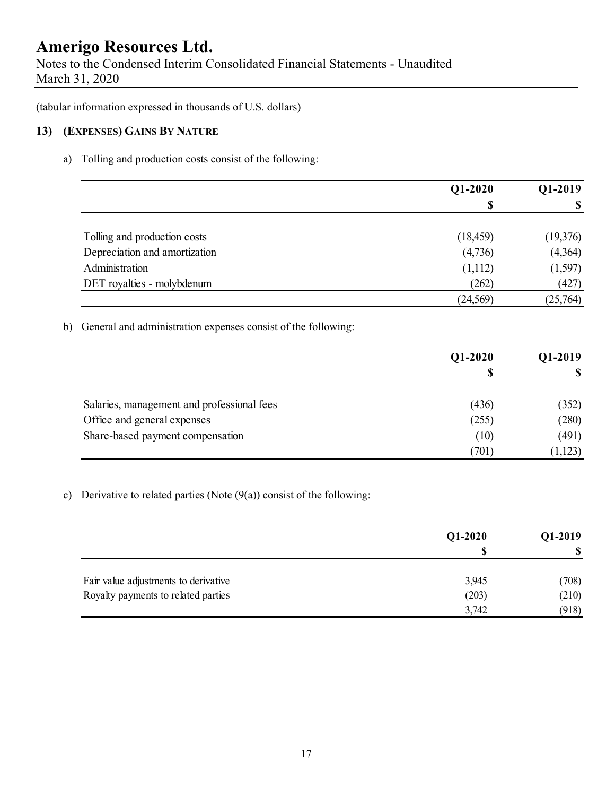Notes to the Condensed Interim Consolidated Financial Statements - Unaudited March 31, 2020

(tabular information expressed in thousands of U.S. dollars)

#### **13) (EXPENSES) GAINS BY NATURE**

a) Tolling and production costs consist of the following:

|                               | Q1-2020   | Q1-2019                   |
|-------------------------------|-----------|---------------------------|
|                               | \$        | $\boldsymbol{\mathsf{S}}$ |
| Tolling and production costs  | (18, 459) | (19,376)                  |
| Depreciation and amortization | (4,736)   | (4,364)                   |
| Administration                | (1,112)   | (1,597)                   |
| DET royalties - molybdenum    | (262)     | (427)                     |
|                               | (24, 569) | (25,764)                  |

#### b) General and administration expenses consist of the following:

|                                            | $Q1-2020$ | Q1-2019 |  |
|--------------------------------------------|-----------|---------|--|
|                                            |           |         |  |
| Salaries, management and professional fees | (436)     | (352)   |  |
| Office and general expenses                | (255)     | (280)   |  |
| Share-based payment compensation           | (10)      | (491)   |  |
|                                            | (701)     | (1,123) |  |

c) Derivative to related parties (Note  $(9(a))$  consist of the following:

|                                      | Q1-2020 | Q1-2019 |
|--------------------------------------|---------|---------|
|                                      |         | \$      |
| Fair value adjustments to derivative | 3,945   | (708)   |
| Royalty payments to related parties  | (203)   | (210)   |
|                                      | 3,742   | (918)   |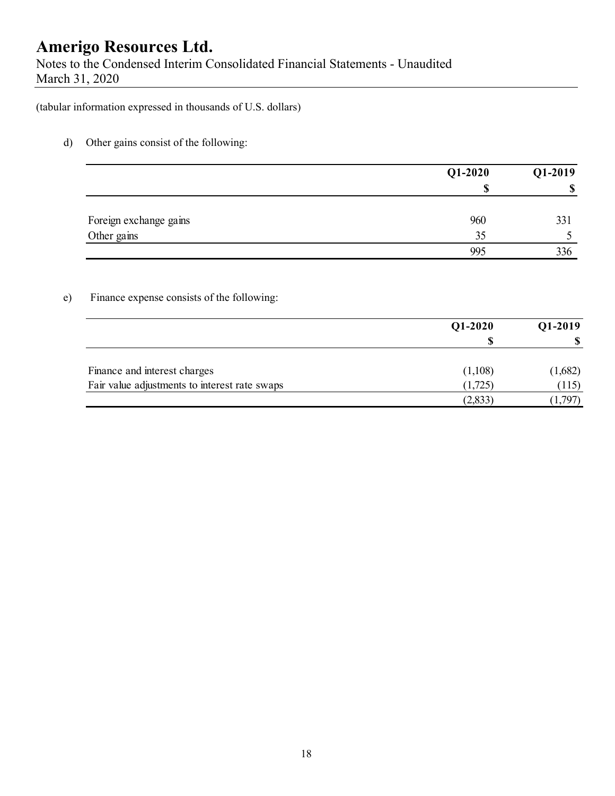Notes to the Condensed Interim Consolidated Financial Statements - Unaudited March 31, 2020

(tabular information expressed in thousands of U.S. dollars)

d) Other gains consist of the following:

|                        | $Q1-2020$ | $Q1-2019$ |
|------------------------|-----------|-----------|
|                        | ¢<br>۱D   |           |
| Foreign exchange gains | 960       | 331       |
| Other gains            | 35        |           |
|                        | 995       | 336       |

e) Finance expense consists of the following:

|                                               | $Q1-2020$ | Q1-2019  |
|-----------------------------------------------|-----------|----------|
|                                               | S         | <b>S</b> |
| Finance and interest charges                  | (1,108)   | (1,682)  |
| Fair value adjustments to interest rate swaps | (1,725)   | (115)    |
|                                               | (2,833)   | 1,797    |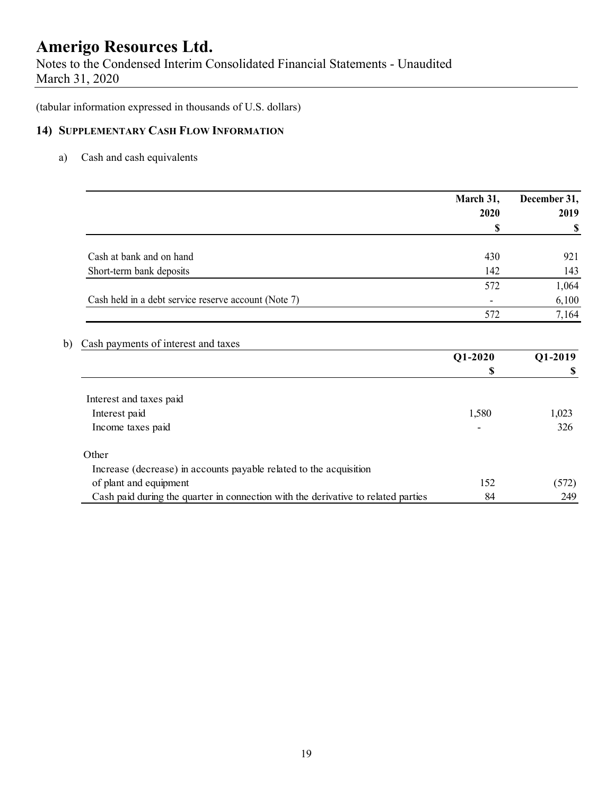Notes to the Condensed Interim Consolidated Financial Statements - Unaudited March 31, 2020

(tabular information expressed in thousands of U.S. dollars)

### **14) SUPPLEMENTARY CASH FLOW INFORMATION**

a) Cash and cash equivalents

|                                                      | March 31,<br>2020 | December 31,<br>2019 |
|------------------------------------------------------|-------------------|----------------------|
|                                                      |                   |                      |
| Cash at bank and on hand                             | 430               | 921                  |
| Short-term bank deposits                             | 142               | 143                  |
|                                                      | 572               | 1,064                |
| Cash held in a debt service reserve account (Note 7) |                   | 6,100                |
|                                                      |                   | 7,164                |

#### b) Cash payments of interest and taxes

|                                                                                   | Q1-2020 | Q1-2019 |
|-----------------------------------------------------------------------------------|---------|---------|
|                                                                                   | \$      | S       |
|                                                                                   |         |         |
| Interest and taxes paid                                                           |         |         |
| Interest paid                                                                     | 1,580   | 1,023   |
| Income taxes paid                                                                 |         | 326     |
| Other                                                                             |         |         |
| Increase (decrease) in accounts payable related to the acquisition                |         |         |
| of plant and equipment                                                            | 152     | (572)   |
| Cash paid during the quarter in connection with the derivative to related parties | 84      | 249     |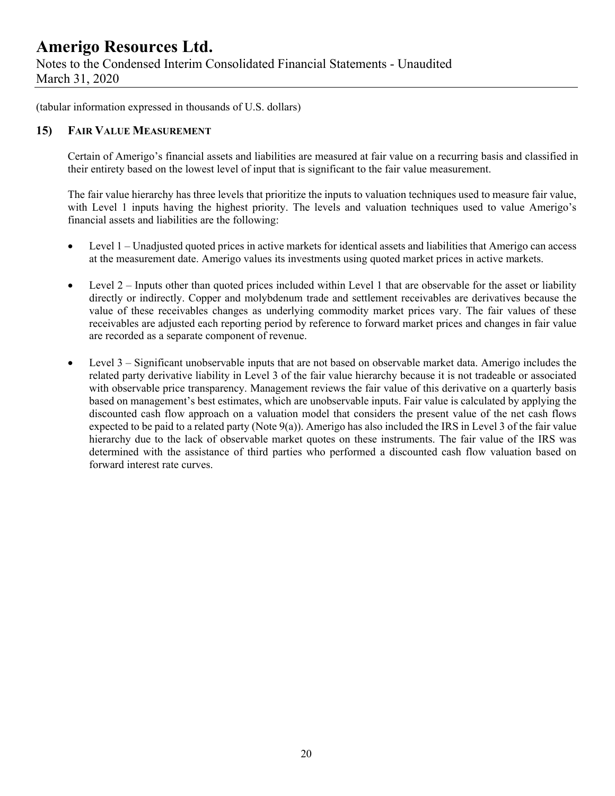Notes to the Condensed Interim Consolidated Financial Statements - Unaudited March 31, 2020

(tabular information expressed in thousands of U.S. dollars)

#### **15) FAIR VALUE MEASUREMENT**

Certain of Amerigo's financial assets and liabilities are measured at fair value on a recurring basis and classified in their entirety based on the lowest level of input that is significant to the fair value measurement.

The fair value hierarchy has three levels that prioritize the inputs to valuation techniques used to measure fair value, with Level 1 inputs having the highest priority. The levels and valuation techniques used to value Amerigo's financial assets and liabilities are the following:

- Level 1 Unadjusted quoted prices in active markets for identical assets and liabilities that Amerigo can access at the measurement date. Amerigo values its investments using quoted market prices in active markets.
- $\bullet$  Level 2 Inputs other than quoted prices included within Level 1 that are observable for the asset or liability directly or indirectly. Copper and molybdenum trade and settlement receivables are derivatives because the value of these receivables changes as underlying commodity market prices vary. The fair values of these receivables are adjusted each reporting period by reference to forward market prices and changes in fair value are recorded as a separate component of revenue.
- Level 3 Significant unobservable inputs that are not based on observable market data. Amerigo includes the related party derivative liability in Level 3 of the fair value hierarchy because it is not tradeable or associated with observable price transparency. Management reviews the fair value of this derivative on a quarterly basis based on management's best estimates, which are unobservable inputs. Fair value is calculated by applying the discounted cash flow approach on a valuation model that considers the present value of the net cash flows expected to be paid to a related party (Note 9(a)). Amerigo has also included the IRS in Level 3 of the fair value hierarchy due to the lack of observable market quotes on these instruments. The fair value of the IRS was determined with the assistance of third parties who performed a discounted cash flow valuation based on forward interest rate curves.